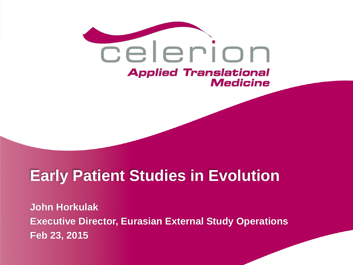

# **Early Patient Studies in Evolution**

**John Horkulak Executive Director, Eurasian External Study Operations Feb 23, 2015**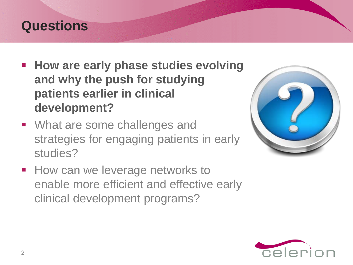#### **Questions**

- **How are early phase studies evolving and why the push for studying patients earlier in clinical development?**
- **What are some challenges and** strategies for engaging patients in early studies?



**How can we leverage networks to** enable more efficient and effective early clinical development programs?

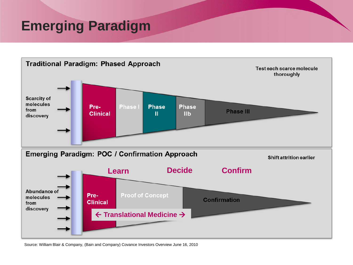## **Emerging Paradigm**



Source: William Blair & Company, (Bain and Company) Covance Investors Overview June 16, 2010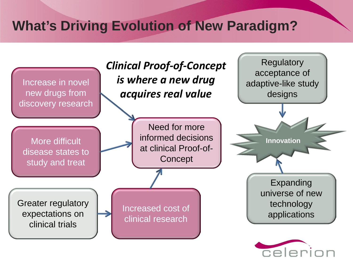## **What's Driving Evolution of New Paradigm?**

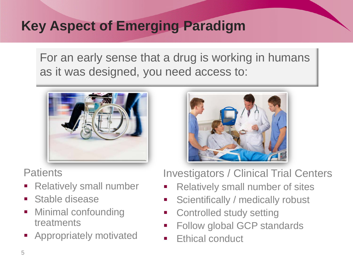## **Key Aspect of Emerging Paradigm**

For an early sense that a drug is working in humans as it was designed, you need access to:



**Patients** 

- **Relatively small number**
- Stable disease
- Minimal confounding treatments
- **Appropriately motivated**



Investigators / Clinical Trial Centers

- Relatively small number of sites
- **Scientifically / medically robust**
- **EXECONTROLLERGY SETTING**
- Follow global GCP standards
- Ethical conduct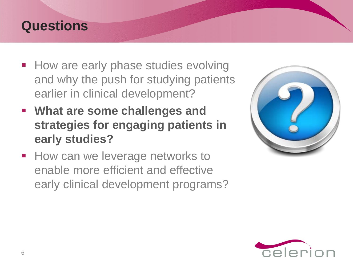#### **Questions**

- How are early phase studies evolving and why the push for studying patients earlier in clinical development?
- **What are some challenges and strategies for engaging patients in early studies?**
- **How can we leverage networks to** enable more efficient and effective early clinical development programs?



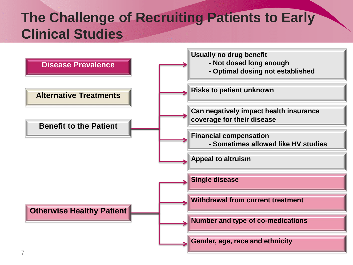# **The Challenge of Recruiting Patients to Early Clinical Studies**

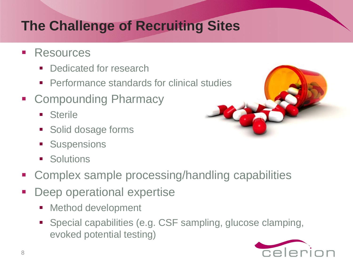# **The Challenge of Recruiting Sites**

- **Resources** 
	- Dedicated for research
	- **Performance standards for clinical studies**
- **E** Compounding Pharmacy
	- **B** Sterile
	- **Solid dosage forms**
	- **Suspensions**
	- **Solutions**
- Complex sample processing/handling capabilities
- Deep operational expertise
	- **Method development**
	- Special capabilities (e.g. CSF sampling, glucose clamping, evoked potential testing)

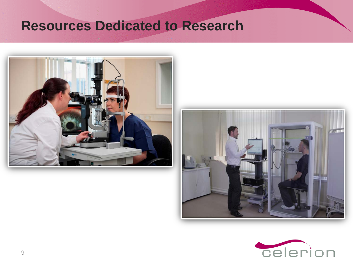#### **Resources Dedicated to Research**





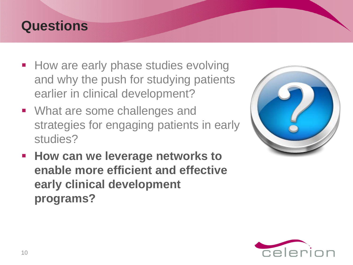#### **Questions**

- How are early phase studies evolving and why the push for studying patients earlier in clinical development?
- What are some challenges and strategies for engaging patients in early studies?
- **How can we leverage networks to enable more efficient and effective early clinical development programs?**



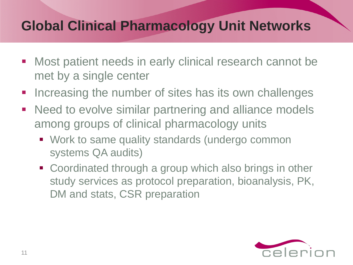## **Global Clinical Pharmacology Unit Networks**

- **Most patient needs in early clinical research cannot be** met by a single center
- Increasing the number of sites has its own challenges
- **Need to evolve similar partnering and alliance models** among groups of clinical pharmacology units
	- Work to same quality standards (undergo common systems QA audits)
	- Coordinated through a group which also brings in other study services as protocol preparation, bioanalysis, PK, DM and stats, CSR preparation

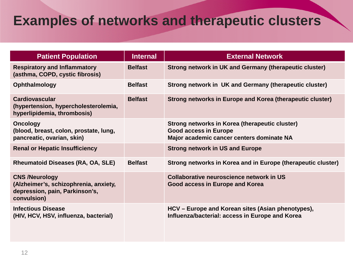## **Examples of networks and therapeutic clusters**

| <b>Patient Population</b>                                                                                       | <b>Internal</b> | <b>External Network</b>                                                                                                     |
|-----------------------------------------------------------------------------------------------------------------|-----------------|-----------------------------------------------------------------------------------------------------------------------------|
| <b>Respiratory and Inflammatory</b><br>(asthma, COPD, cystic fibrosis)                                          | <b>Belfast</b>  | <b>Strong network in UK and Germany (therapeutic cluster)</b>                                                               |
| Ophthalmology                                                                                                   | <b>Belfast</b>  | Strong network in UK and Germany (therapeutic cluster)                                                                      |
| <b>Cardiovascular</b><br>(hypertension, hypercholesterolemia,<br>hyperlipidemia, thrombosis)                    | <b>Belfast</b>  | Strong networks in Europe and Korea (therapeutic cluster)                                                                   |
| <b>Oncology</b><br>(blood, breast, colon, prostate, lung,<br>pancreatic, ovarian, skin)                         |                 | Strong networks in Korea (therapeutic cluster)<br><b>Good access in Europe</b><br>Major academic cancer centers dominate NA |
| <b>Renal or Hepatic Insufficiency</b>                                                                           |                 | <b>Strong network in US and Europe</b>                                                                                      |
| Rheumatoid Diseases (RA, OA, SLE)                                                                               | <b>Belfast</b>  | Strong networks in Korea and in Europe (therapeutic cluster)                                                                |
| <b>CNS /Neurology</b><br>(Alzheimer's, schizophrenia, anxiety,<br>depression, pain, Parkinson's,<br>convulsion) |                 | Collaborative neuroscience network in US<br>Good access in Europe and Korea                                                 |
| <b>Infectious Disease</b><br>(HIV, HCV, HSV, influenza, bacterial)                                              |                 | HCV – Europe and Korean sites (Asian phenotypes),<br>Influenza/bacterial: access in Europe and Korea                        |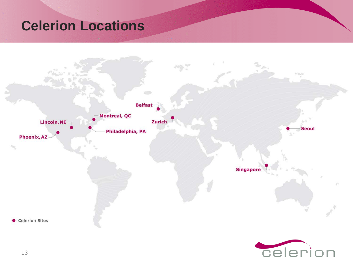### **Celerion Locations**

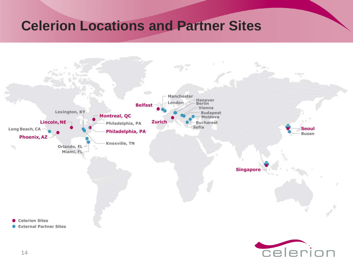## **Celerion Locations and Partner Sites**